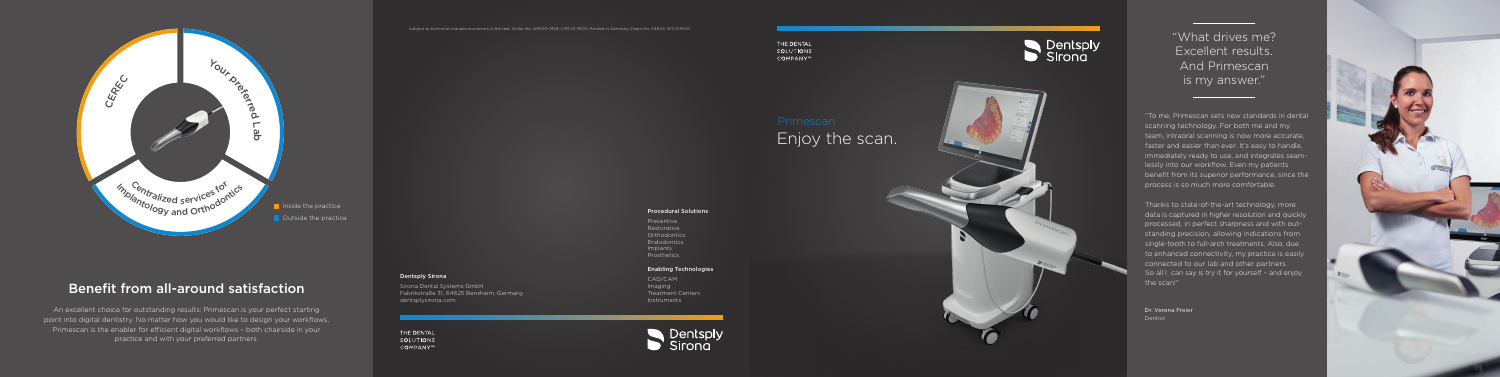# Enjoy the scan.

To me, Primescan sets new standards in dental scanning technology. For both me and my team, intraoral scanning is now more accurate, faster and easier than ever. It's easy to handle, immediately ready to use, and integrates seam lessly into our workflow. Even my patients benefit from its superior performance, since the process is so much more comfortable.



Thanks to state-of-the-art technology, more data is captured in higher resolution and quickly processed, in perfect sharpness and with out standing precision, allowing indications from single-tooth to full-arch treatments. Also, due to enhanced connectivity, my practice is easily connected to our lab and other partners. So all I can say is try it for yourself - and enjoy the scan!"



Dr. Verena Freier Dentist

"What drives me? Excellent results. And Primescan is my answer."

## Benefit from all-around satisfaction

An excellent choice for outstanding results: Primescan is your perfect starting point into digital dentistry. No matter how you would like to design your workflows, Primescan is the enabler for efficient digital workflows – both chairside in your practice and with your preferred partners.

Subject to technical changes and errors in the text, Order No. A91100-M43-C191-01-7600, Printed in Germany, Dispo No. 04605, WS 0119.V0



Preventive Restorative Orthodontics Endodontics Implants Prosthetics

### Enabling Technologies

CAD/CAM Imaging Treatment Centers Instruments





#### Dentsply Sirona

Sirona Dental Systems GmbH Fabrikstraße 31, 64625 Bensheim, Germany dentsplysirona.com

THE DENTAL SOLUTIONS COMPANY™

THE DENTAL SOLUTIONS COMPANY™